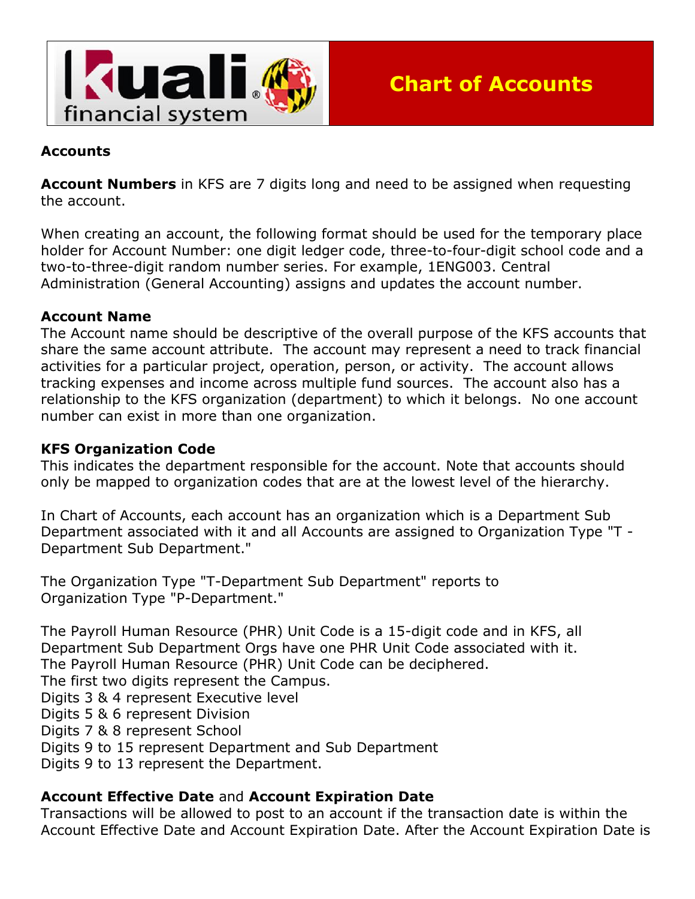

### **Accounts**

**Account Numbers** in KFS are 7 digits long and need to be assigned when requesting the account.

When creating an account, the following format should be used for the temporary place holder for Account Number: one digit ledger code, three-to-four-digit school code and a two-to-three-digit random number series. For example, 1ENG003. Central Administration (General Accounting) assigns and updates the account number.

#### **Account Name**

The Account name should be descriptive of the overall purpose of the KFS accounts that share the same account attribute. The account may represent a need to track financial activities for a particular project, operation, person, or activity. The account allows tracking expenses and income across multiple fund sources. The account also has a relationship to the KFS organization (department) to which it belongs. No one account number can exist in more than one organization.

#### **KFS Organization Code**

This indicates the department responsible for the account. Note that accounts should only be mapped to organization codes that are at the lowest level of the hierarchy.

In Chart of Accounts, each account has an organization which is a Department Sub Department associated with it and all Accounts are assigned to Organization Type "T - Department Sub Department."

The Organization Type "T-Department Sub Department" reports to Organization Type "P-Department."

The Payroll Human Resource (PHR) Unit Code is a 15-digit code and in KFS, all Department Sub Department Orgs have one PHR Unit Code associated with it. The Payroll Human Resource (PHR) Unit Code can be deciphered. The first two digits represent the Campus. Digits 3 & 4 represent Executive level Digits 5 & 6 represent Division Digits 7 & 8 represent School Digits 9 to 15 represent Department and Sub Department Digits 9 to 13 represent the Department.

#### **Account Effective Date** and **Account Expiration Date**

Transactions will be allowed to post to an account if the transaction date is within the Account Effective Date and Account Expiration Date. After the Account Expiration Date is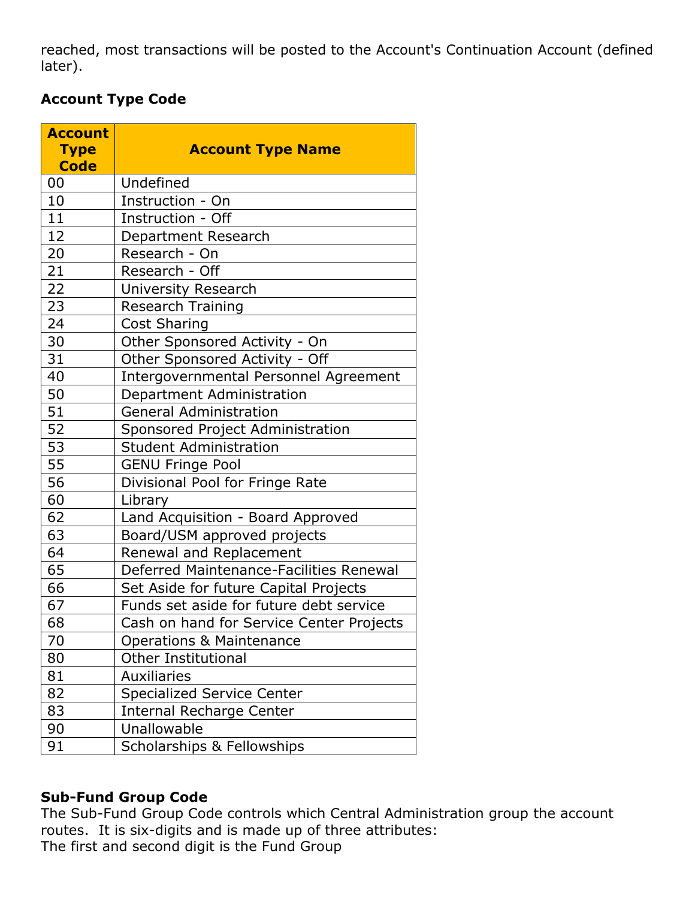reached, most transactions will be posted to the Account's Continuation Account (defined later).

# **Account Type Code**

| <b>Account</b> |                                              |  |  |
|----------------|----------------------------------------------|--|--|
| <b>Type</b>    | <b>Account Type Name</b>                     |  |  |
| <b>Code</b>    |                                              |  |  |
| 00             | Undefined                                    |  |  |
| 10             | Instruction - On                             |  |  |
| 11             | Instruction - Off                            |  |  |
| 12             | Department Research                          |  |  |
| 20             | Research - On                                |  |  |
| 21             | Research - Off                               |  |  |
| 22             | <b>University Research</b>                   |  |  |
| 23             | <b>Research Training</b>                     |  |  |
| 24             | <b>Cost Sharing</b>                          |  |  |
| 30             | Other Sponsored Activity - On                |  |  |
| 31             | Other Sponsored Activity - Off               |  |  |
| 40             | <b>Intergovernmental Personnel Agreement</b> |  |  |
| 50             | Department Administration                    |  |  |
| 51             | <b>General Administration</b>                |  |  |
| 52             | Sponsored Project Administration             |  |  |
| 53             | <b>Student Administration</b>                |  |  |
| 55             | <b>GENU Fringe Pool</b>                      |  |  |
| 56             | Divisional Pool for Fringe Rate              |  |  |
| 60             | Library                                      |  |  |
| 62             | Land Acquisition - Board Approved            |  |  |
| 63             | Board/USM approved projects                  |  |  |
| 64             | Renewal and Replacement                      |  |  |
| 65             | Deferred Maintenance-Facilities Renewal      |  |  |
| 66             | Set Aside for future Capital Projects        |  |  |
| 67             | Funds set aside for future debt service      |  |  |
| 68             | Cash on hand for Service Center Projects     |  |  |
| 70             | <b>Operations &amp; Maintenance</b>          |  |  |
| 80             | <b>Other Institutional</b>                   |  |  |
| 81             | <b>Auxiliaries</b>                           |  |  |
| 82             | <b>Specialized Service Center</b>            |  |  |
| 83             | Internal Recharge Center                     |  |  |
| 90             | Unallowable                                  |  |  |
| 91             | Scholarships & Fellowships                   |  |  |

# **Sub-Fund Group Code**

The Sub-Fund Group Code controls which Central Administration group the account routes. It is six-digits and is made up of three attributes: The first and second digit is the Fund Group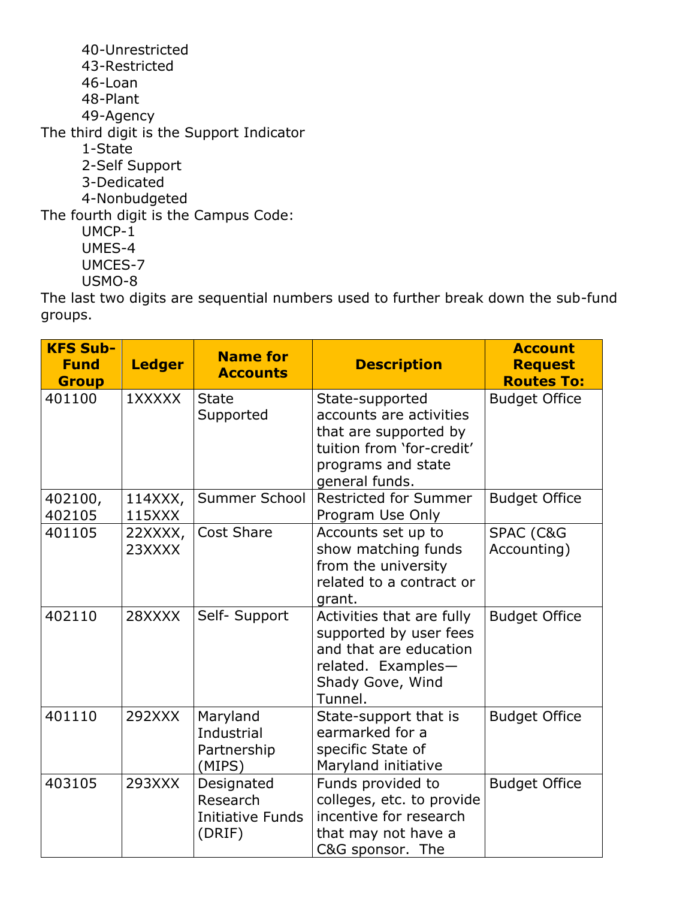40-Unrestricted 43-Restricted 46-Loan 48-Plant 49-Agency The third digit is the Support Indicator 1-State 2-Self Support 3-Dedicated 4-Nonbudgeted The fourth digit is the Campus Code: UMCP-1 UMES-4 UMCES-7 USMO-8

The last two digits are sequential numbers used to further break down the sub-fund groups.

| <b>KFS Sub-</b><br><b>Fund</b><br><b>Group</b> | <b>Ledger</b>     | <b>Name for</b><br><b>Accounts</b>                     | <b>Description</b>                                                                                                                       | <b>Account</b><br><b>Request</b><br><b>Routes To:</b> |
|------------------------------------------------|-------------------|--------------------------------------------------------|------------------------------------------------------------------------------------------------------------------------------------------|-------------------------------------------------------|
| 401100                                         | 1XXXXX            | <b>State</b><br>Supported                              | State-supported<br>accounts are activities<br>that are supported by<br>tuition from 'for-credit'<br>programs and state<br>general funds. | <b>Budget Office</b>                                  |
| 402100,<br>402105                              | 114XXX,<br>115XXX | Summer School                                          | <b>Restricted for Summer</b><br>Program Use Only                                                                                         | <b>Budget Office</b>                                  |
| 401105                                         | 22XXXX,<br>23XXXX | <b>Cost Share</b>                                      | Accounts set up to<br>show matching funds<br>from the university<br>related to a contract or<br>grant.                                   | SPAC (C&G<br>Accounting)                              |
| 402110                                         | 28XXXX            | Self- Support                                          | Activities that are fully<br>supported by user fees<br>and that are education<br>related. Examples-<br>Shady Gove, Wind<br>Tunnel.       | <b>Budget Office</b>                                  |
| 401110                                         | 292XXX            | Maryland<br><b>Industrial</b><br>Partnership<br>(MIPS) | State-support that is<br>earmarked for a<br>specific State of<br>Maryland initiative                                                     | <b>Budget Office</b>                                  |
| 403105                                         | 293XXX            | Designated<br>Research<br>Initiative Funds<br>(DRIF)   | Funds provided to<br>colleges, etc. to provide<br>incentive for research<br>that may not have a<br>C&G sponsor. The                      | <b>Budget Office</b>                                  |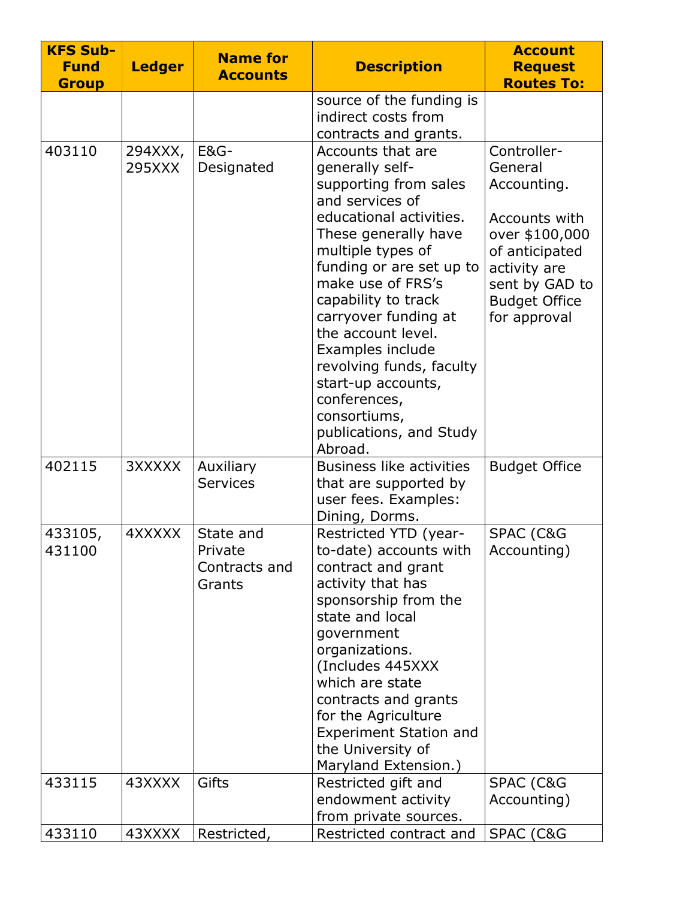| <b>KFS Sub-</b><br><b>Fund</b><br><b>Group</b> | <b>Ledger</b>     | <b>Name for</b><br><b>Accounts</b>              | <b>Description</b>                                                                                                                                                                                                                                                                                                                                                                                                         | <b>Account</b><br><b>Request</b><br><b>Routes To:</b>                                                                                                                |
|------------------------------------------------|-------------------|-------------------------------------------------|----------------------------------------------------------------------------------------------------------------------------------------------------------------------------------------------------------------------------------------------------------------------------------------------------------------------------------------------------------------------------------------------------------------------------|----------------------------------------------------------------------------------------------------------------------------------------------------------------------|
|                                                |                   |                                                 | source of the funding is<br>indirect costs from<br>contracts and grants.                                                                                                                                                                                                                                                                                                                                                   |                                                                                                                                                                      |
| 403110                                         | 294XXX,<br>295XXX | <b>E&amp;G-</b><br>Designated                   | Accounts that are<br>generally self-<br>supporting from sales<br>and services of<br>educational activities.<br>These generally have<br>multiple types of<br>funding or are set up to<br>make use of FRS's<br>capability to track<br>carryover funding at<br>the account level.<br>Examples include<br>revolving funds, faculty<br>start-up accounts,<br>conferences,<br>consortiums,<br>publications, and Study<br>Abroad. | Controller-<br>General<br>Accounting.<br>Accounts with<br>over \$100,000<br>of anticipated<br>activity are<br>sent by GAD to<br><b>Budget Office</b><br>for approval |
| 402115                                         | 3XXXXX            | Auxiliary<br><b>Services</b>                    | <b>Business like activities</b><br>that are supported by<br>user fees. Examples:<br>Dining, Dorms.                                                                                                                                                                                                                                                                                                                         | <b>Budget Office</b>                                                                                                                                                 |
| 433105,<br>431100                              | 4XXXXX            | State and<br>Private<br>Contracts and<br>Grants | Restricted YTD (year-<br>to-date) accounts with<br>contract and grant<br>activity that has<br>sponsorship from the<br>state and local<br>government<br>organizations.<br>(Includes 445XXX<br>which are state<br>contracts and grants<br>for the Agriculture<br><b>Experiment Station and</b><br>the University of<br>Maryland Extension.)                                                                                  | SPAC (C&G<br>Accounting)                                                                                                                                             |
| 433115                                         | 43XXXX            | Gifts                                           | Restricted gift and<br>endowment activity<br>from private sources.                                                                                                                                                                                                                                                                                                                                                         | SPAC (C&G<br>Accounting)                                                                                                                                             |
| 433110                                         | 43XXXX            | Restricted,                                     | Restricted contract and                                                                                                                                                                                                                                                                                                                                                                                                    | SPAC (C&G                                                                                                                                                            |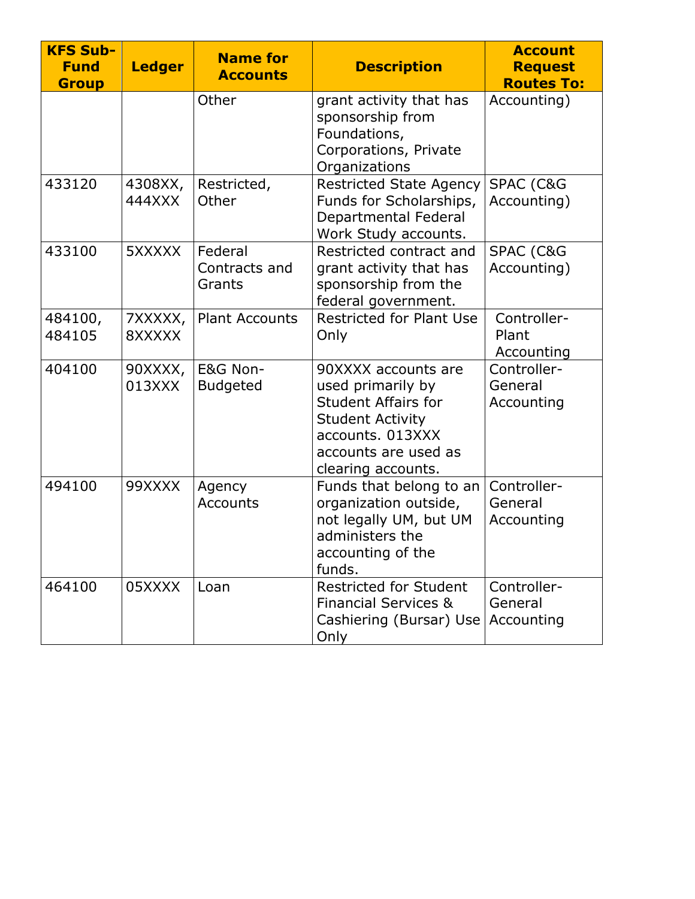| <b>KFS Sub-</b><br><b>Fund</b><br><b>Group</b> | <b>Ledger</b>     | <b>Name for</b><br><b>Accounts</b> | <b>Description</b>                                                                                                                                                  | <b>Account</b><br><b>Request</b><br><b>Routes To:</b> |
|------------------------------------------------|-------------------|------------------------------------|---------------------------------------------------------------------------------------------------------------------------------------------------------------------|-------------------------------------------------------|
|                                                |                   | Other                              | grant activity that has<br>sponsorship from<br>Foundations,<br>Corporations, Private<br>Organizations                                                               | Accounting)                                           |
| 433120                                         | 4308XX,<br>444XXX | Restricted,<br>Other               | <b>Restricted State Agency</b><br>Funds for Scholarships,<br>Departmental Federal<br>Work Study accounts.                                                           | SPAC (C&G<br>Accounting)                              |
| 433100                                         | 5XXXXX            | Federal<br>Contracts and<br>Grants | Restricted contract and<br>grant activity that has<br>sponsorship from the<br>federal government.                                                                   | <b>SPAC (C&amp;G</b><br>Accounting)                   |
| 484100,<br>484105                              | 7XXXXX,<br>8XXXXX | <b>Plant Accounts</b>              | <b>Restricted for Plant Use</b><br>Only                                                                                                                             | Controller-<br>Plant<br>Accounting                    |
| 404100                                         | 90XXXX,<br>013XXX | E&G Non-<br><b>Budgeted</b>        | 90XXXX accounts are<br>used primarily by<br><b>Student Affairs for</b><br><b>Student Activity</b><br>accounts. 013XXX<br>accounts are used as<br>clearing accounts. | Controller-<br>General<br>Accounting                  |
| 494100                                         | 99XXXX            | Agency<br><b>Accounts</b>          | Funds that belong to an<br>organization outside,<br>not legally UM, but UM<br>administers the<br>accounting of the<br>funds.                                        | Controller-<br>General<br>Accounting                  |
| 464100                                         | 05XXXX            | Loan                               | <b>Restricted for Student</b><br><b>Financial Services &amp;</b><br>Cashiering (Bursar) Use<br>Only                                                                 | Controller-<br>General<br>Accounting                  |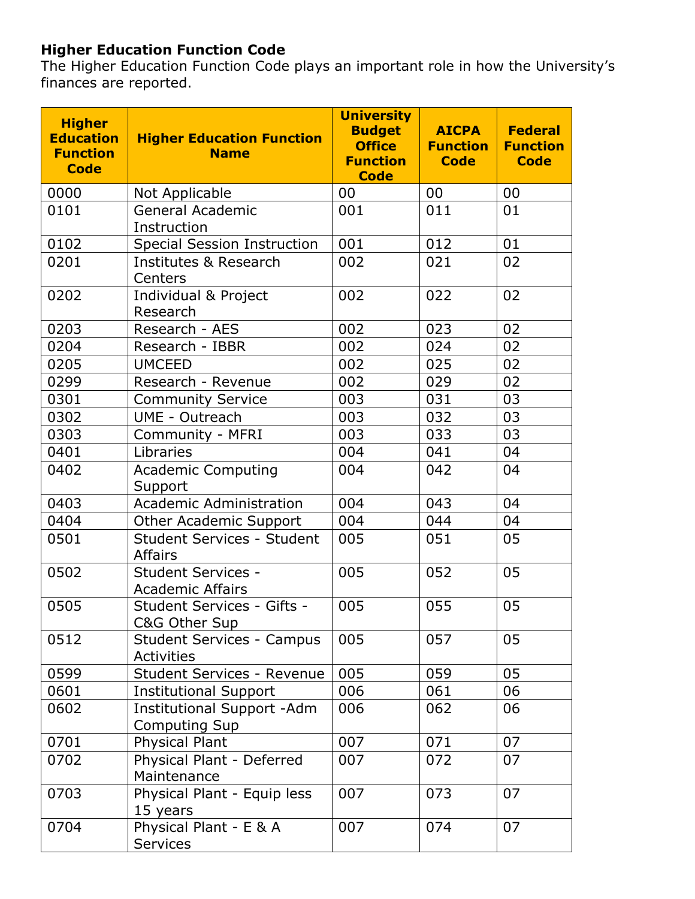# **Higher Education Function Code**

The Higher Education Function Code plays an important role in how the University's finances are reported.

| <b>Higher</b><br><b>Education</b><br><b>Function</b><br><b>Code</b> | <b>Higher Education Function</b><br><b>Name</b>           | <b>University</b><br><b>Budget</b><br><b>Office</b><br><b>Function</b><br><b>Code</b> | <b>AICPA</b><br><b>Function</b><br><b>Code</b> | <b>Federal</b><br><b>Function</b><br><b>Code</b> |
|---------------------------------------------------------------------|-----------------------------------------------------------|---------------------------------------------------------------------------------------|------------------------------------------------|--------------------------------------------------|
| 0000                                                                | Not Applicable                                            | 00                                                                                    | 00                                             | 00                                               |
| 0101                                                                | <b>General Academic</b><br>Instruction                    | 001                                                                                   | 011                                            | 01                                               |
| 0102                                                                | <b>Special Session Instruction</b>                        | 001                                                                                   | 012                                            | 01                                               |
| 0201                                                                | <b>Institutes &amp; Research</b><br>Centers               | 002                                                                                   | 021                                            | 02                                               |
| 0202                                                                | Individual & Project<br>Research                          | 002                                                                                   | 022                                            | 02                                               |
| 0203                                                                | Research - AES                                            | 002                                                                                   | 023                                            | 02                                               |
| 0204                                                                | Research - IBBR                                           | 002                                                                                   | 024                                            | 02                                               |
| 0205                                                                | <b>UMCEED</b>                                             | 002                                                                                   | 025                                            | 02                                               |
| 0299                                                                | Research - Revenue                                        | 002                                                                                   | 029                                            | 02                                               |
| 0301                                                                | <b>Community Service</b>                                  | 003                                                                                   | 031                                            | 03                                               |
| 0302                                                                | <b>UME - Outreach</b>                                     | 003                                                                                   | 032                                            | 03                                               |
| 0303                                                                | Community - MFRI                                          | 003                                                                                   | 033                                            | 03                                               |
| 0401                                                                | Libraries                                                 | 004                                                                                   | 041                                            | 04                                               |
| 0402                                                                | <b>Academic Computing</b><br>Support                      | 004                                                                                   | 042                                            | 04                                               |
| 0403                                                                | <b>Academic Administration</b>                            | 004                                                                                   | 043                                            | 04                                               |
| 0404                                                                | Other Academic Support                                    | 004                                                                                   | 044                                            | 04                                               |
| 0501                                                                | <b>Student Services - Student</b><br><b>Affairs</b>       | 005                                                                                   | 051                                            | 05                                               |
| 0502                                                                | <b>Student Services -</b><br><b>Academic Affairs</b>      | 005                                                                                   | 052                                            | 05                                               |
| 0505                                                                | Student Services - Gifts -<br>C&G Other Sup               | 005                                                                                   | 055                                            | 05                                               |
| 0512                                                                | <b>Student Services - Campus</b><br><b>Activities</b>     | 005                                                                                   | 057                                            | 05                                               |
| 0599                                                                | Student Services - Revenue                                | 005                                                                                   | 059                                            | 05                                               |
| 0601                                                                | <b>Institutional Support</b>                              | 006                                                                                   | 061                                            | 06                                               |
| 0602                                                                | <b>Institutional Support -Adm</b><br><b>Computing Sup</b> | 006                                                                                   | 062                                            | 06                                               |
| 0701                                                                | <b>Physical Plant</b>                                     | 007                                                                                   | 071                                            | 07                                               |
| 0702                                                                | Physical Plant - Deferred<br>Maintenance                  | 007                                                                                   | 072                                            | 07                                               |
| 0703                                                                | Physical Plant - Equip less<br>15 years                   | 007                                                                                   | 073                                            | 07                                               |
| 0704                                                                | Physical Plant - E & A<br><b>Services</b>                 | 007                                                                                   | 074                                            | 07                                               |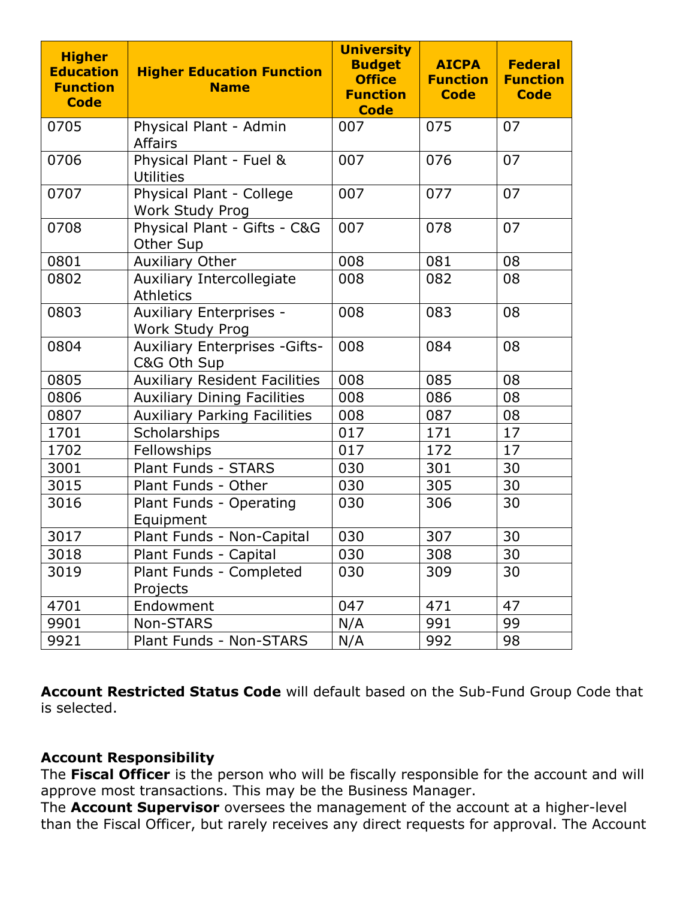| <b>Higher</b><br><b>Education</b><br><b>Function</b><br><b>Code</b> | <b>Higher Education Function</b><br><b>Name</b>          | <b>University</b><br><b>Budget</b><br><b>Office</b><br><b>Function</b><br><b>Code</b> | <b>AICPA</b><br><b>Function</b><br><b>Code</b> | <b>Federal</b><br><b>Function</b><br><b>Code</b> |
|---------------------------------------------------------------------|----------------------------------------------------------|---------------------------------------------------------------------------------------|------------------------------------------------|--------------------------------------------------|
| 0705                                                                | Physical Plant - Admin<br><b>Affairs</b>                 | 007                                                                                   | 075                                            | 07                                               |
| 0706                                                                | Physical Plant - Fuel &<br><b>Utilities</b>              | 007                                                                                   | 076                                            | 07                                               |
| 0707                                                                | Physical Plant - College<br>Work Study Prog              | 007                                                                                   | 077                                            | 07                                               |
| 0708                                                                | Physical Plant - Gifts - C&G<br>Other Sup                | 007                                                                                   | 078                                            | 07                                               |
| 0801                                                                | <b>Auxiliary Other</b>                                   | 008                                                                                   | 081                                            | 08                                               |
| 0802                                                                | Auxiliary Intercollegiate<br><b>Athletics</b>            | 008                                                                                   | 082                                            | 08                                               |
| 0803                                                                | <b>Auxiliary Enterprises -</b><br><b>Work Study Prog</b> | 008                                                                                   | 083                                            | 08                                               |
| 0804                                                                | <b>Auxiliary Enterprises - Gifts-</b><br>C&G Oth Sup     | 008                                                                                   | 084                                            | 08                                               |
| 0805                                                                | <b>Auxiliary Resident Facilities</b>                     | 008                                                                                   | 085                                            | 08                                               |
| 0806                                                                | <b>Auxiliary Dining Facilities</b>                       | 008                                                                                   | 086                                            | 08                                               |
| 0807                                                                | <b>Auxiliary Parking Facilities</b>                      | 008                                                                                   | 087                                            | 08                                               |
| 1701                                                                | Scholarships                                             | 017                                                                                   | 171                                            | 17                                               |
| 1702                                                                | Fellowships                                              | 017                                                                                   | 172                                            | 17                                               |
| 3001                                                                | Plant Funds - STARS                                      | 030                                                                                   | 301                                            | 30                                               |
| 3015                                                                | Plant Funds - Other                                      | 030                                                                                   | 305                                            | 30                                               |
| 3016                                                                | Plant Funds - Operating<br>Equipment                     | 030                                                                                   | 306                                            | 30                                               |
| 3017                                                                | Plant Funds - Non-Capital                                | 030                                                                                   | 307                                            | 30                                               |
| 3018                                                                | Plant Funds - Capital                                    | 030                                                                                   | 308                                            | 30                                               |
| 3019                                                                | Plant Funds - Completed<br>Projects                      | 030                                                                                   | 309                                            | 30                                               |
| 4701                                                                | Endowment                                                | 047                                                                                   | 471                                            | 47                                               |
| 9901                                                                | Non-STARS                                                | N/A                                                                                   | 991                                            | 99                                               |
| 9921                                                                | Plant Funds - Non-STARS                                  | N/A                                                                                   | 992                                            | 98                                               |

**Account Restricted Status Code** will default based on the Sub-Fund Group Code that is selected.

# **Account Responsibility**

The **Fiscal Officer** is the person who will be fiscally responsible for the account and will approve most transactions. This may be the Business Manager.

The **Account Supervisor** oversees the management of the account at a higher-level than the Fiscal Officer, but rarely receives any direct requests for approval. The Account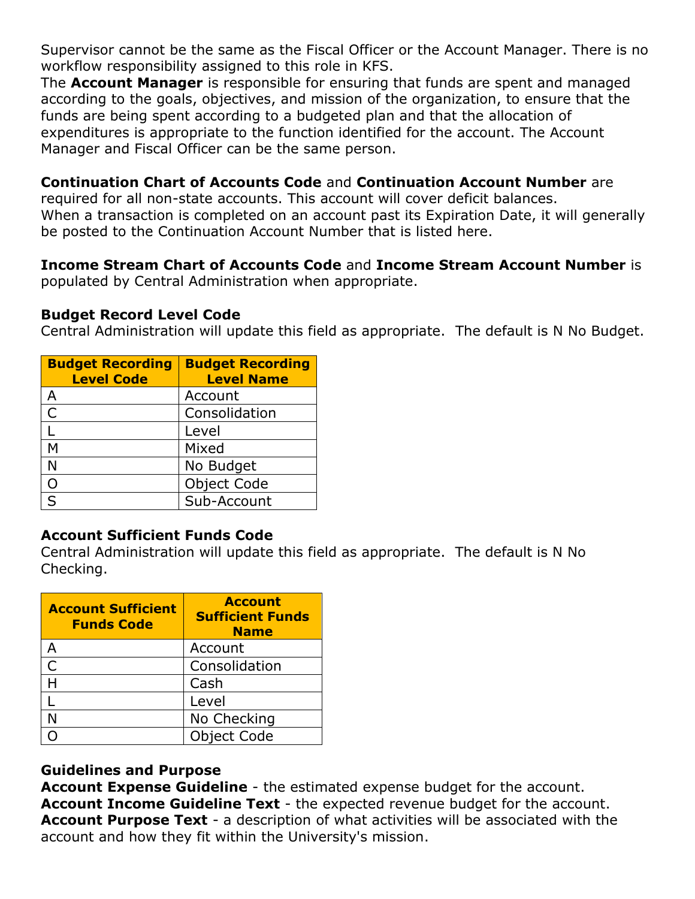Supervisor cannot be the same as the Fiscal Officer or the Account Manager. There is no workflow responsibility assigned to this role in KFS.

The **Account Manager** is responsible for ensuring that funds are spent and managed according to the goals, objectives, and mission of the organization, to ensure that the funds are being spent according to a budgeted plan and that the allocation of expenditures is appropriate to the function identified for the account. The Account Manager and Fiscal Officer can be the same person.

### **Continuation Chart of Accounts Code** and **Continuation Account Number** are

required for all non-state accounts. This account will cover deficit balances. When a transaction is completed on an account past its Expiration Date, it will generally be posted to the Continuation Account Number that is listed here.

# **Income Stream Chart of Accounts Code** and **Income Stream Account Number** is

populated by Central Administration when appropriate.

#### **Budget Record Level Code**

Central Administration will update this field as appropriate. The default is N No Budget.

| <b>Budget Recording</b><br><b>Level Code</b> | <b>Budget Recording</b><br><b>Level Name</b> |
|----------------------------------------------|----------------------------------------------|
| А                                            | Account                                      |
| $\mathsf{C}$                                 | Consolidation                                |
|                                              | Level                                        |
| М                                            | Mixed                                        |
| N                                            | No Budget                                    |
|                                              | <b>Object Code</b>                           |
|                                              | Sub-Account                                  |

# **Account Sufficient Funds Code**

Central Administration will update this field as appropriate. The default is N No Checking.

| <b>Account Sufficient</b><br><b>Funds Code</b> | <b>Account</b><br><b>Sufficient Funds</b><br><b>Name</b> |
|------------------------------------------------|----------------------------------------------------------|
|                                                | Account                                                  |
|                                                | Consolidation                                            |
|                                                | Cash                                                     |
|                                                | Level                                                    |
|                                                | No Checking                                              |
|                                                | <b>Object Code</b>                                       |

# **Guidelines and Purpose**

**Account Expense Guideline** - the estimated expense budget for the account. **Account Income Guideline Text** - the expected revenue budget for the account. **Account Purpose Text** - a description of what activities will be associated with the account and how they fit within the University's mission.